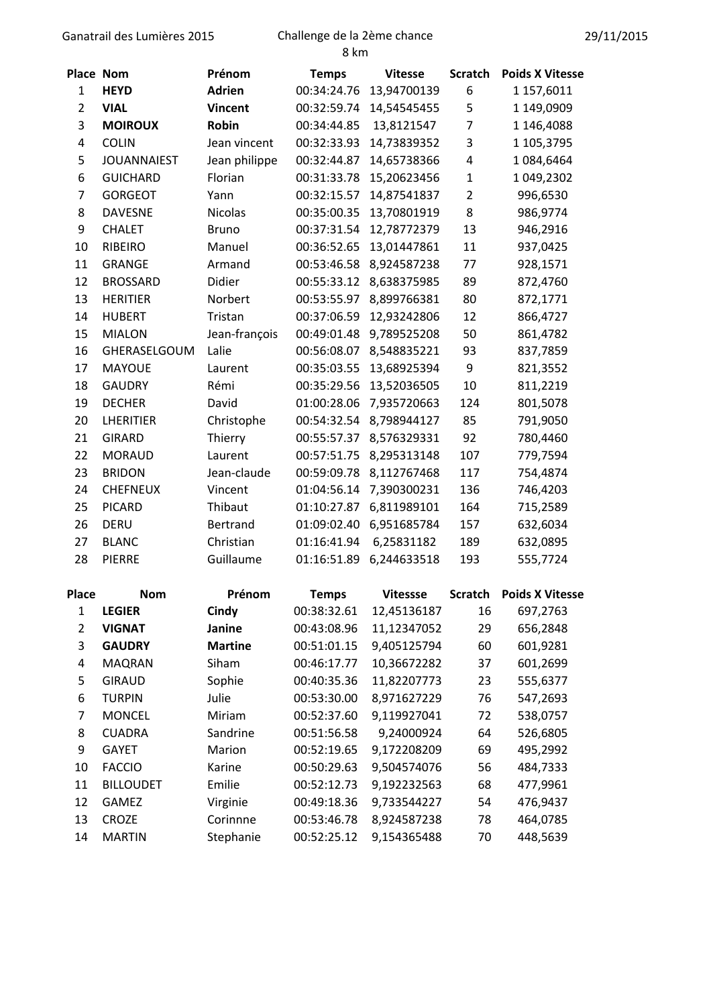## Ganatrail des Lumières 2015 Challenge de la 2ème chance

8 km

| Place Nom      |                    | Prénom          | <b>Temps</b> | <b>Vitesse</b>   | <b>Scratch</b> | <b>Poids X Vitesse</b> |
|----------------|--------------------|-----------------|--------------|------------------|----------------|------------------------|
| $\mathbf{1}$   | <b>HEYD</b>        | <b>Adrien</b>   | 00:34:24.76  | 13,94700139<br>6 |                | 1 157,6011             |
| $\overline{2}$ | <b>VIAL</b>        | <b>Vincent</b>  | 00:32:59.74  | 14,54545455      | 5              | 1 149,0909             |
| 3              | <b>MOIROUX</b>     | <b>Robin</b>    | 00:34:44.85  | 13,8121547       | 7              | 1 146,4088             |
| 4              | <b>COLIN</b>       | Jean vincent    | 00:32:33.93  | 14,73839352      | 3              | 1 105,3795             |
| 5              | <b>JOUANNAIEST</b> | Jean philippe   | 00:32:44.87  | 14,65738366      | 4              | 1084,6464              |
| 6              | <b>GUICHARD</b>    | Florian         | 00:31:33.78  | 15,20623456      | $\mathbf{1}$   | 1 049,2302             |
| $\overline{7}$ | <b>GORGEOT</b>     | Yann            | 00:32:15.57  | 14,87541837      | $\overline{2}$ | 996,6530               |
| 8              | <b>DAVESNE</b>     | <b>Nicolas</b>  | 00:35:00.35  | 13,70801919      | 8              | 986,9774               |
| 9              | <b>CHALET</b>      | <b>Bruno</b>    | 00:37:31.54  | 12,78772379      | 13             | 946,2916               |
| 10             | <b>RIBEIRO</b>     | Manuel          | 00:36:52.65  | 13,01447861      | 11             | 937,0425               |
| 11             | <b>GRANGE</b>      | Armand          | 00:53:46.58  | 8,924587238      | 77             | 928,1571               |
| 12             | <b>BROSSARD</b>    | Didier          | 00:55:33.12  | 8,638375985      | 89             | 872,4760               |
| 13             | <b>HERITIER</b>    | Norbert         | 00:53:55.97  | 8,899766381      | 80             | 872,1771               |
| 14             | <b>HUBERT</b>      | Tristan         | 00:37:06.59  | 12,93242806      | 12             | 866,4727               |
| 15             | <b>MIALON</b>      | Jean-françois   | 00:49:01.48  | 9,789525208      | 50             | 861,4782               |
| 16             | GHERASELGOUM       | Lalie           | 00:56:08.07  | 8,548835221      | 93             | 837,7859               |
| 17             | <b>MAYOUE</b>      | Laurent         | 00:35:03.55  | 13,68925394      | 9              | 821,3552               |
| 18             | <b>GAUDRY</b>      | Rémi            | 00:35:29.56  | 13,52036505      | 10             | 811,2219               |
| 19             | <b>DECHER</b>      | David           | 01:00:28.06  | 7,935720663      | 124            | 801,5078               |
| 20             | <b>LHERITIER</b>   | Christophe      | 00:54:32.54  | 8,798944127      | 85             | 791,9050               |
| 21             | <b>GIRARD</b>      | Thierry         | 00:55:57.37  | 8,576329331      | 92             | 780,4460               |
| 22             | <b>MORAUD</b>      | Laurent         | 00:57:51.75  | 8,295313148      | 107            | 779,7594               |
| 23             | <b>BRIDON</b>      | Jean-claude     | 00:59:09.78  | 8,112767468      | 117            | 754,4874               |
| 24             | <b>CHEFNEUX</b>    | Vincent         | 01:04:56.14  | 7,390300231      | 136            | 746,4203               |
| 25             | <b>PICARD</b>      | Thibaut         | 01:10:27.87  | 6,811989101      | 164            | 715,2589               |
| 26             | <b>DERU</b>        | <b>Bertrand</b> | 01:09:02.40  | 6,951685784      | 157            | 632,6034               |
| 27             | <b>BLANC</b>       | Christian       | 01:16:41.94  | 6,25831182       | 189            | 632,0895               |
| 28             | <b>PIERRE</b>      | Guillaume       | 01:16:51.89  | 6,244633518      | 193            | 555,7724               |
| <b>Place</b>   | <b>Nom</b>         | Prénom          | <b>Temps</b> | <b>Vitessse</b>  | <b>Scratch</b> | <b>Poids X Vitesse</b> |
| 1              | <b>LEGIER</b>      | Cindv           | 00:38:32.61  | 12.45136187      | 16             | 697.2763               |

| riace | <b>NOM</b>       | rrenom         | <b>Temps</b> | <b>VITESSSE</b> | scratch | <b>POIDS A VITESSE</b> |
|-------|------------------|----------------|--------------|-----------------|---------|------------------------|
| 1     | <b>LEGIER</b>    | Cindy          | 00:38:32.61  | 12,45136187     | 16      | 697,2763               |
| 2     | <b>VIGNAT</b>    | Janine         | 00:43:08.96  | 11,12347052     | 29      | 656,2848               |
| 3     | <b>GAUDRY</b>    | <b>Martine</b> | 00:51:01.15  | 9,405125794     | 60      | 601,9281               |
| 4     | <b>MAQRAN</b>    | Siham          | 00:46:17.77  | 10,36672282     | 37      | 601,2699               |
| 5     | <b>GIRAUD</b>    | Sophie         | 00:40:35.36  | 11,82207773     | 23      | 555,6377               |
| 6     | <b>TURPIN</b>    | Julie          | 00:53:30.00  | 8,971627229     | 76      | 547,2693               |
| 7     | <b>MONCEL</b>    | Miriam         | 00:52:37.60  | 9,119927041     | 72      | 538,0757               |
| 8     | <b>CUADRA</b>    | Sandrine       | 00:51:56.58  | 9,24000924      | 64      | 526,6805               |
| 9     | <b>GAYET</b>     | Marion         | 00:52:19.65  | 9,172208209     | 69      | 495,2992               |
| 10    | <b>FACCIO</b>    | Karine         | 00:50:29.63  | 9,504574076     | 56      | 484,7333               |
| 11    | <b>BILLOUDET</b> | Emilie         | 00:52:12.73  | 9,192232563     | 68      | 477,9961               |
| 12    | <b>GAMEZ</b>     | Virginie       | 00:49:18.36  | 9,733544227     | 54      | 476,9437               |
| 13    | <b>CROZE</b>     | Corinnne       | 00:53:46.78  | 8,924587238     | 78      | 464,0785               |
| 14    | <b>MARTIN</b>    | Stephanie      | 00:52:25.12  | 9,154365488     | 70      | 448,5639               |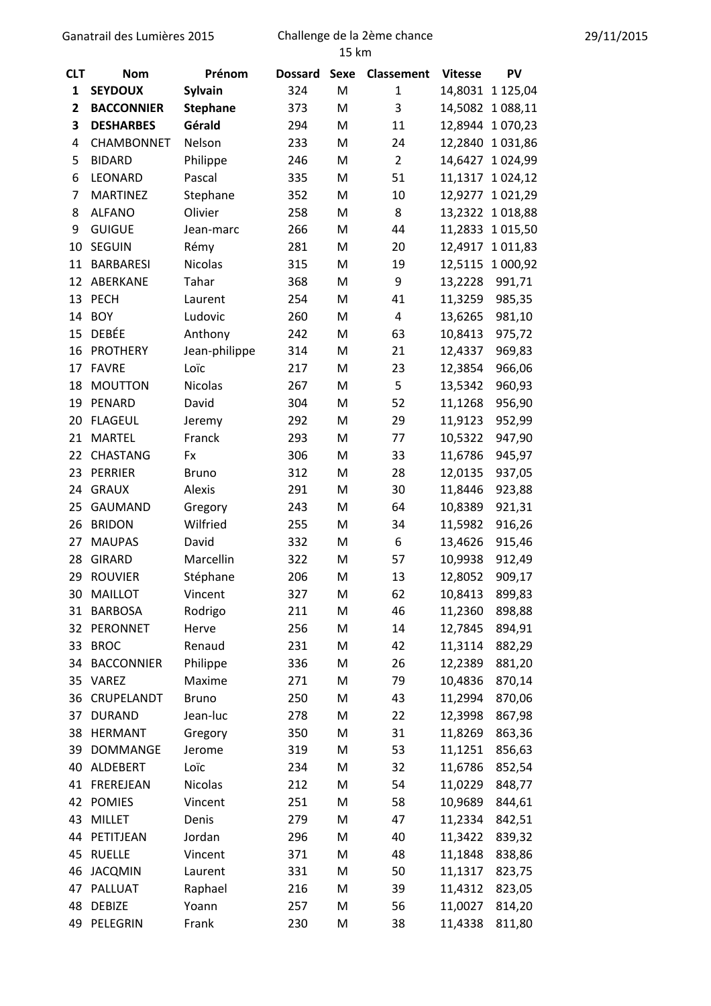## Ganatrail des Lumières 2015 Challenge de la 2ème chance

| <b>CLT</b>     | <b>Nom</b>        | Prénom          | <b>Dossard</b> | <b>Sexe</b> | Classement     | <b>Vitesse</b> | PV            |
|----------------|-------------------|-----------------|----------------|-------------|----------------|----------------|---------------|
| 1              | <b>SEYDOUX</b>    | <b>Sylvain</b>  | 324            | M           | $\mathbf{1}$   | 14,8031        | 1 125,04      |
| 2              | <b>BACCONNIER</b> | <b>Stephane</b> | 373            | M           | 3              | 14,5082        | 1 088,11      |
| 3              | <b>DESHARBES</b>  | Gérald          | 294            | M           | 11             | 12,8944        | 1 070,23      |
| 4              | <b>CHAMBONNET</b> | Nelson          | 233            | M           | 24             | 12,2840        | 1031,86       |
| 5              | <b>BIDARD</b>     | Philippe        | 246            | M           | $\overline{2}$ | 14,6427        | 1 0 24,99     |
| 6              | LEONARD           | Pascal          | 335            | M           | 51             | 11,1317        | 1 0 24, 12    |
| $\overline{7}$ | <b>MARTINEZ</b>   | Stephane        | 352            | M           | 10             | 12,9277        | 1 0 2 1 , 2 9 |
| 8              | <b>ALFANO</b>     | Olivier         | 258            | M           | 8              | 13,2322        | 1018,88       |
| 9              | <b>GUIGUE</b>     | Jean-marc       | 266            | M           | 44             | 11,2833        | 1 0 1 5 , 5 0 |
| 10             | <b>SEGUIN</b>     | Rémy            | 281            | M           | 20             | 12,4917        | 1 0 1 1,83    |
| 11             | <b>BARBARESI</b>  | Nicolas         | 315            | M           | 19             | 12,5115        | 1 000,92      |
| 12             | ABERKANE          | Tahar           | 368            | M           | 9              | 13,2228        | 991,71        |
| 13             | <b>PECH</b>       | Laurent         | 254            | M           | 41             | 11,3259        | 985,35        |
| 14             | <b>BOY</b>        | Ludovic         | 260            | M           | 4              | 13,6265        | 981,10        |
| 15             | <b>DEBÉE</b>      | Anthony         | 242            | M           | 63             | 10,8413        | 975,72        |
| 16             | <b>PROTHERY</b>   | Jean-philippe   | 314            | M           | 21             | 12,4337        | 969,83        |
| 17             | <b>FAVRE</b>      | Loïc            | 217            | M           | 23             | 12,3854        | 966,06        |
| 18             | <b>MOUTTON</b>    | <b>Nicolas</b>  | 267            | M           | 5              | 13,5342        | 960,93        |
| 19             | PENARD            | David           | 304            | M           | 52             | 11,1268        | 956,90        |
| 20             | <b>FLAGEUL</b>    | Jeremy          | 292            | M           | 29             | 11,9123        | 952,99        |
| 21             | <b>MARTEL</b>     | Franck          | 293            | M           | 77             | 10,5322        | 947,90        |
| 22             | <b>CHASTANG</b>   | Fx              | 306            | M           | 33             | 11,6786        | 945,97        |
| 23             | <b>PERRIER</b>    | <b>Bruno</b>    | 312            | M           | 28             | 12,0135        | 937,05        |
| 24             | <b>GRAUX</b>      | Alexis          | 291            | M           | 30             | 11,8446        | 923,88        |
| 25             | <b>GAUMAND</b>    | Gregory         | 243            | M           | 64             | 10,8389        | 921,31        |
| 26             | <b>BRIDON</b>     | Wilfried        | 255            | M           | 34             | 11,5982        | 916,26        |
| 27             | <b>MAUPAS</b>     | David           | 332            | M           | 6              | 13,4626        | 915,46        |
| 28             | <b>GIRARD</b>     | Marcellin       | 322            | M           | 57             | 10,9938        | 912,49        |
| 29             | <b>ROUVIER</b>    | Stéphane        | 206            | M           | 13             | 12,8052        | 909,17        |
| 30             | <b>MAILLOT</b>    | Vincent         | 327            | M           | 62             | 10,8413        | 899,83        |
|                | 31 BARBOSA        | Rodrigo         | 211            | M           | 46             | 11,2360        | 898,88        |
| 32             | PERONNET          | Herve           | 256            | M           | 14             | 12,7845        | 894,91        |
| 33             | <b>BROC</b>       | Renaud          | 231            | M           | 42             | 11,3114        | 882,29        |
| 34             | <b>BACCONNIER</b> | Philippe        | 336            | M           | 26             | 12,2389        | 881,20        |
| 35             | VAREZ             | Maxime          | 271            | M           | 79             | 10,4836        | 870,14        |
| 36             | CRUPELANDT        | <b>Bruno</b>    | 250            | M           | 43             | 11,2994        | 870,06        |
| 37             | <b>DURAND</b>     | Jean-luc        | 278            | M           | 22             | 12,3998        | 867,98        |
| 38             | <b>HERMANT</b>    | Gregory         | 350            | M           | 31             | 11,8269        | 863,36        |
| 39             | DOMMANGE          | Jerome          | 319            | M           | 53             | 11,1251        | 856,63        |
| 40             | ALDEBERT          | Loïc            | 234            | M           | 32             | 11,6786        | 852,54        |
|                | 41 FREREJEAN      | Nicolas         | 212            | M           | 54             | 11,0229        | 848,77        |
|                | 42 POMIES         | Vincent         | 251            | M           | 58             | 10,9689        | 844,61        |
| 43             | <b>MILLET</b>     | Denis           | 279            | M           | 47             | 11,2334        | 842,51        |
|                | 44 PETITJEAN      | Jordan          | 296            | M           | 40             | 11,3422        | 839,32        |
| 45             | <b>RUELLE</b>     | Vincent         | 371            | M           | 48             | 11,1848        | 838,86        |
| 46             | <b>JACQMIN</b>    | Laurent         | 331            | M           | 50             | 11,1317        | 823,75        |
| 47             | PALLUAT           | Raphael         | 216            | M           | 39             | 11,4312        | 823,05        |
| 48             | <b>DEBIZE</b>     | Yoann           | 257            | M           | 56             | 11,0027        | 814,20        |
|                | 49 PELEGRIN       | Frank           | 230            | M           | 38             | 11,4338        | 811,80        |